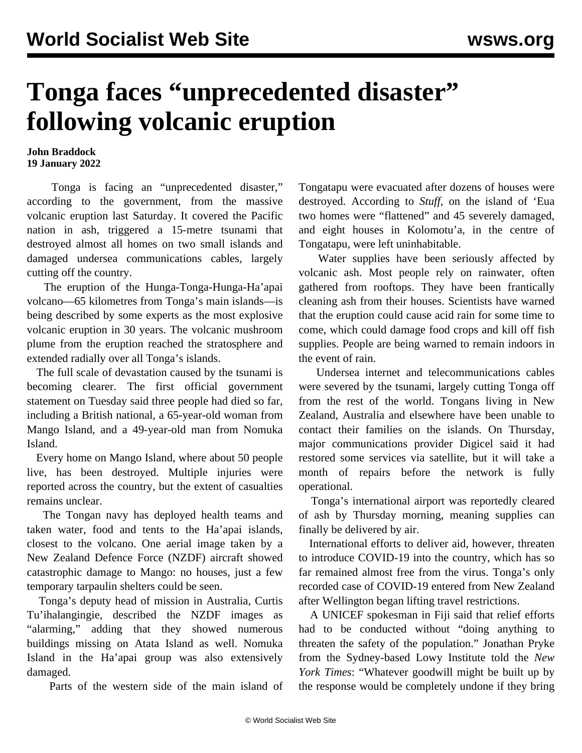## **Tonga faces "unprecedented disaster" following volcanic eruption**

## **John Braddock 19 January 2022**

 Tonga is facing an "unprecedented disaster," according to the government, from the massive volcanic eruption last Saturday. It covered the Pacific nation in ash, triggered a 15-metre tsunami that destroyed almost all homes on two small islands and damaged undersea communications cables, largely cutting off the country.

 The eruption of the Hunga-Tonga-Hunga-Ha'apai volcano—65 kilometres from Tonga's main islands—is being described by some experts as the most explosive volcanic eruption in 30 years. The volcanic mushroom plume from the eruption reached the stratosphere and extended radially over all Tonga's islands.

 The full scale of devastation caused by the tsunami is becoming clearer. The first official government statement on Tuesday said three people had died so far, including a British national, a 65-year-old woman from Mango Island, and a 49-year-old man from Nomuka Island.

 Every home on Mango Island, where about 50 people live, has been destroyed. Multiple injuries were reported across the country, but the extent of casualties remains unclear.

 The Tongan navy has deployed health teams and taken water, food and tents to the Ha'apai islands, closest to the volcano. One aerial image taken by a New Zealand Defence Force (NZDF) aircraft showed catastrophic damage to Mango: no houses, just a few temporary tarpaulin shelters could be seen.

 Tonga's deputy head of mission in Australia, Curtis Tu'ihalangingie, described the NZDF images as "alarming," adding that they showed numerous buildings missing on Atata Island as well. Nomuka Island in the Ha'apai group was also extensively damaged.

Parts of the western side of the main island of

Tongatapu were evacuated after dozens of houses were destroyed. According to *Stuff*, on the island of 'Eua two homes were "flattened" and 45 severely damaged, and eight houses in Kolomotu'a, in the centre of Tongatapu, were left uninhabitable.

 Water supplies have been seriously affected by volcanic ash. Most people rely on rainwater, often gathered from rooftops. They have been frantically cleaning ash from their houses. Scientists have warned that the eruption could cause acid rain for some time to come, which could damage food crops and kill off fish supplies. People are being warned to remain indoors in the event of rain.

 Undersea internet and telecommunications cables were severed by the tsunami, largely cutting Tonga off from the rest of the world. Tongans living in New Zealand, Australia and elsewhere have been unable to contact their families on the islands. On Thursday, major communications provider Digicel said it had restored some services via satellite, but it will take a month of repairs before the network is fully operational.

 Tonga's international airport was reportedly cleared of ash by Thursday morning, meaning supplies can finally be delivered by air.

 International efforts to deliver aid, however, threaten to introduce COVID-19 into the country, which has so far remained almost free from the virus. Tonga's only recorded [case](/en/articles/2021/11/05/tong-n05.html) of COVID-19 entered from New Zealand after Wellington began lifting travel restrictions.

 A UNICEF spokesman in Fiji said that relief efforts had to be conducted without "doing anything to threaten the safety of the population." Jonathan Pryke from the Sydney-based Lowy Institute told the *New York Times*: "Whatever goodwill might be built up by the response would be completely undone if they bring